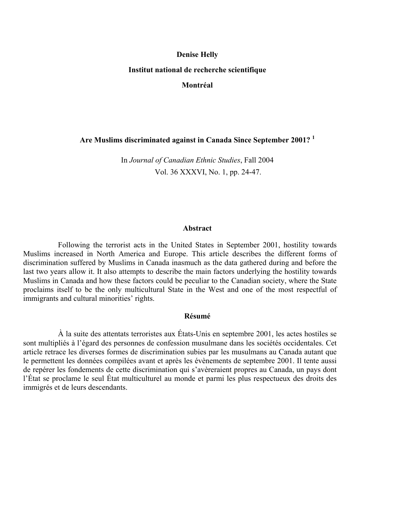# **Denise Helly Institut national de recherche scientifique Montréal**

**Are Muslims discriminated against in Canada Since September 2001? [1](#page-32-0)**

In *Journal of Canadian Ethnic Studies*, Fall 2004 Vol. 36 XXXVI, No. 1, pp. 24-47.

#### **Abstract**

Following the terrorist acts in the United States in September 2001, hostility towards Muslims increased in North America and Europe. This article describes the different forms of discrimination suffered by Muslims in Canada inasmuch as the data gathered during and before the last two years allow it. It also attempts to describe the main factors underlying the hostility towards Muslims in Canada and how these factors could be peculiar to the Canadian society, where the State proclaims itself to be the only multicultural State in the West and one of the most respectful of immigrants and cultural minorities' rights.

#### **Résumé**

À la suite des attentats terroristes aux États-Unis en septembre 2001, les actes hostiles se sont multipliés à l'égard des personnes de confession musulmane dans les sociétés occidentales. Cet article retrace les diverses formes de discrimination subies par les musulmans au Canada autant que le permettent les données compilées avant et après les évènements de septembre 2001. Il tente aussi de repérer les fondements de cette discrimination qui s'avèreraient propres au Canada, un pays dont l'État se proclame le seul État multiculturel au monde et parmi les plus respectueux des droits des immigrés et de leurs descendants.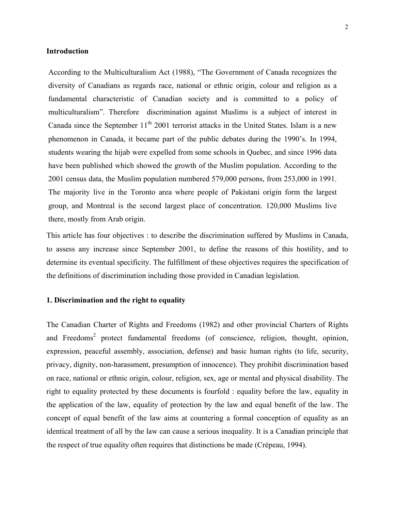#### **Introduction**

According to the Multiculturalism Act (1988), "The Government of Canada recognizes the diversity of Canadians as regards race, national or ethnic origin, colour and religion as a fundamental characteristic of Canadian society and is committed to a policy of multiculturalism". Therefore discrimination against Muslims is a subject of interest in Canada since the September  $11<sup>th</sup>$  2001 terrorist attacks in the United States. Islam is a new phenomenon in Canada, it became part of the public debates during the 1990's. In 1994, students wearing the hijab were expelled from some schools in Quebec, and since 1996 data have been published which showed the growth of the Muslim population. According to the 2001 census data, the Muslim population numbered 579,000 persons, from 253,000 in 1991. The majority live in the Toronto area where people of Pakistani origin form the largest group, and Montreal is the second largest place of concentration. 120,000 Muslims live there, mostly from Arab origin.

This article has four objectives : to describe the discrimination suffered by Muslims in Canada, to assess any increase since September 2001, to define the reasons of this hostility, and to determine its eventual specificity. The fulfillment of these objectives requires the specification of the definitions of discrimination including those provided in Canadian legislation.

# **1. Discrimination and the right to equality**

The Canadian Charter of Rights and Freedoms (1982) and other provincial Charters of Rights and Freedoms<sup>[2](#page-32-1)</sup> protect fundamental freedoms (of conscience, religion, thought, opinion, expression, peaceful assembly, association, defense) and basic human rights (to life, security, privacy, dignity, non-harassment, presumption of innocence). They prohibit discrimination based on race, national or ethnic origin, colour, religion, sex, age or mental and physical disability. The right to equality protected by these documents is fourfold : equality before the law, equality in the application of the law, equality of protection by the law and equal benefit of the law. The concept of equal benefit of the law aims at countering a formal conception of equality as an identical treatment of all by the law can cause a serious inequality. It is a Canadian principle that the respect of true equality often requires that distinctions be made (Crépeau, 1994).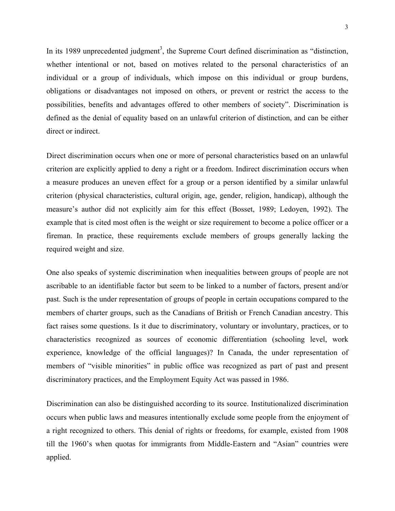In its 1989 unprecedented judgment<sup>[3](#page-32-2)</sup>, the Supreme Court defined discrimination as "distinction, whether intentional or not, based on motives related to the personal characteristics of an individual or a group of individuals, which impose on this individual or group burdens, obligations or disadvantages not imposed on others, or prevent or restrict the access to the possibilities, benefits and advantages offered to other members of society". Discrimination is defined as the denial of equality based on an unlawful criterion of distinction, and can be either direct or indirect.

Direct discrimination occurs when one or more of personal characteristics based on an unlawful criterion are explicitly applied to deny a right or a freedom. Indirect discrimination occurs when a measure produces an uneven effect for a group or a person identified by a similar unlawful criterion (physical characteristics, cultural origin, age, gender, religion, handicap), although the measure's author did not explicitly aim for this effect (Bosset, 1989; Ledoyen, 1992). The example that is cited most often is the weight or size requirement to become a police officer or a fireman. In practice, these requirements exclude members of groups generally lacking the required weight and size.

One also speaks of systemic discrimination when inequalities between groups of people are not ascribable to an identifiable factor but seem to be linked to a number of factors, present and/or past. Such is the under representation of groups of people in certain occupations compared to the members of charter groups, such as the Canadians of British or French Canadian ancestry. This fact raises some questions. Is it due to discriminatory, voluntary or involuntary, practices, or to characteristics recognized as sources of economic differentiation (schooling level, work experience, knowledge of the official languages)? In Canada, the under representation of members of "visible minorities" in public office was recognized as part of past and present discriminatory practices, and the Employment Equity Act was passed in 1986.

Discrimination can also be distinguished according to its source. Institutionalized discrimination occurs when public laws and measures intentionally exclude some people from the enjoyment of a right recognized to others. This denial of rights or freedoms, for example, existed from 1908 till the 1960's when quotas for immigrants from Middle-Eastern and "Asian" countries were applied.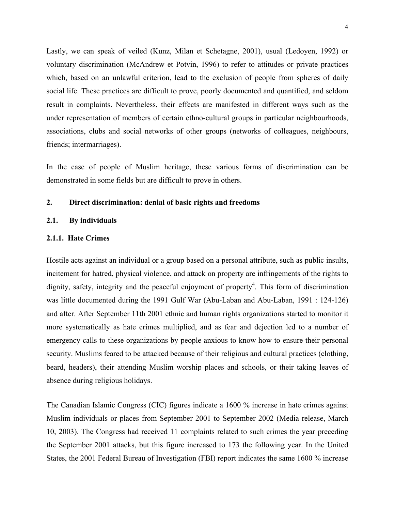Lastly, we can speak of veiled (Kunz, Milan et Schetagne, 2001), usual (Ledoyen, 1992) or voluntary discrimination (McAndrew et Potvin, 1996) to refer to attitudes or private practices which, based on an unlawful criterion, lead to the exclusion of people from spheres of daily social life. These practices are difficult to prove, poorly documented and quantified, and seldom result in complaints. Nevertheless, their effects are manifested in different ways such as the under representation of members of certain ethno-cultural groups in particular neighbourhoods, associations, clubs and social networks of other groups (networks of colleagues, neighbours, friends; intermarriages).

In the case of people of Muslim heritage, these various forms of discrimination can be demonstrated in some fields but are difficult to prove in others.

# **2. Direct discrimination: denial of basic rights and freedoms**

#### **2.1. By individuals**

## **2.1.1. Hate Crimes**

Hostile acts against an individual or a group based on a personal attribute, such as public insults, incitement for hatred, physical violence, and attack on property are infringements of the rights to dignity, safety, integrity and the peaceful enjoyment of property<sup>[4](#page-32-3)</sup>. This form of discrimination was little documented during the 1991 Gulf War (Abu-Laban and Abu-Laban, 1991 : 124-126) and after. After September 11th 2001 ethnic and human rights organizations started to monitor it more systematically as hate crimes multiplied, and as fear and dejection led to a number of emergency calls to these organizations by people anxious to know how to ensure their personal security. Muslims feared to be attacked because of their religious and cultural practices (clothing, beard, headers), their attending Muslim worship places and schools, or their taking leaves of absence during religious holidays.

The Canadian Islamic Congress (CIC) figures indicate a 1600 % increase in hate crimes against Muslim individuals or places from September 2001 to September 2002 (Media release, March 10, 2003). The Congress had received 11 complaints related to such crimes the year preceding the September 2001 attacks, but this figure increased to 173 the following year. In the United States, the 2001 Federal Bureau of Investigation (FBI) report indicates the same 1600 % increase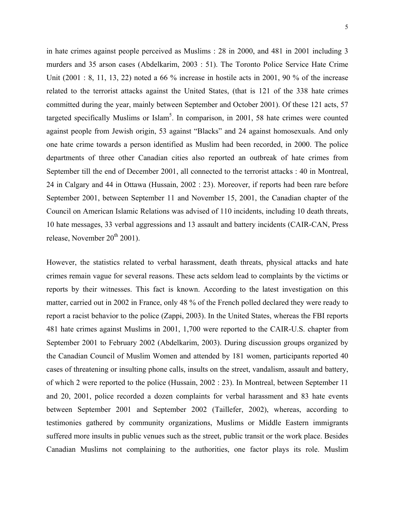in hate crimes against people perceived as Muslims : 28 in 2000, and 481 in 2001 including 3 murders and 35 arson cases (Abdelkarim, 2003 : 51). The Toronto Police Service Hate Crime Unit (2001 : 8, 11, 13, 22) noted a 66 % increase in hostile acts in 2001, 90 % of the increase related to the terrorist attacks against the United States, (that is 121 of the 338 hate crimes committed during the year, mainly between September and October 2001). Of these 121 acts, 57 targeted specifically Muslims or Islam<sup>[5](#page-32-4)</sup>. In comparison, in 2001, 58 hate crimes were counted against people from Jewish origin, 53 against "Blacks" and 24 against homosexuals. And only one hate crime towards a person identified as Muslim had been recorded, in 2000. The police departments of three other Canadian cities also reported an outbreak of hate crimes from September till the end of December 2001, all connected to the terrorist attacks : 40 in Montreal, 24 in Calgary and 44 in Ottawa (Hussain, 2002 : 23). Moreover, if reports had been rare before September 2001, between September 11 and November 15, 2001, the Canadian chapter of the Council on American Islamic Relations was advised of 110 incidents, including 10 death threats, 10 hate messages, 33 verbal aggressions and 13 assault and battery incidents (CAIR-CAN, Press release, November  $20<sup>th</sup> 2001$ ).

However, the statistics related to verbal harassment, death threats, physical attacks and hate crimes remain vague for several reasons. These acts seldom lead to complaints by the victims or reports by their witnesses. This fact is known. According to the latest investigation on this matter, carried out in 2002 in France, only 48 % of the French polled declared they were ready to report a racist behavior to the police (Zappi, 2003). In the United States, whereas the FBI reports 481 hate crimes against Muslims in 2001, 1,700 were reported to the CAIR-U.S. chapter from September 2001 to February 2002 (Abdelkarim, 2003). During discussion groups organized by the Canadian Council of Muslim Women and attended by 181 women, participants reported 40 cases of threatening or insulting phone calls, insults on the street, vandalism, assault and battery, of which 2 were reported to the police (Hussain, 2002 : 23). In Montreal, between September 11 and 20, 2001, police recorded a dozen complaints for verbal harassment and 83 hate events between September 2001 and September 2002 (Taillefer, 2002), whereas, according to testimonies gathered by community organizations, Muslims or Middle Eastern immigrants suffered more insults in public venues such as the street, public transit or the work place. Besides Canadian Muslims not complaining to the authorities, one factor plays its role. Muslim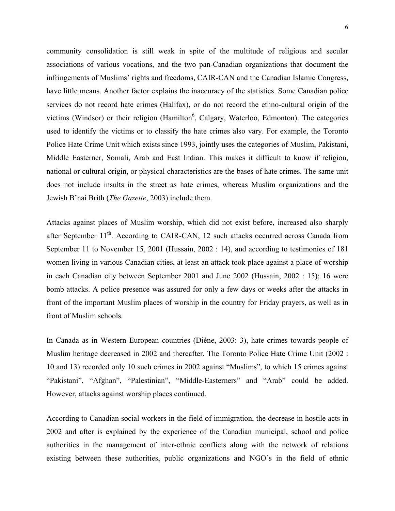community consolidation is still weak in spite of the multitude of religious and secular associations of various vocations, and the two pan-Canadian organizations that document the infringements of Muslims' rights and freedoms, CAIR-CAN and the Canadian Islamic Congress, have little means. Another factor explains the inaccuracy of the statistics. Some Canadian police services do not record hate crimes (Halifax), or do not record the ethno-cultural origin of the victims (Windsor) or their religion (Hamilton<sup>[6](#page-32-5)</sup>, Calgary, Waterloo, Edmonton). The categories used to identify the victims or to classify the hate crimes also vary. For example, the Toronto Police Hate Crime Unit which exists since 1993, jointly uses the categories of Muslim, Pakistani, Middle Easterner, Somali, Arab and East Indian. This makes it difficult to know if religion, national or cultural origin, or physical characteristics are the bases of hate crimes. The same unit does not include insults in the street as hate crimes, whereas Muslim organizations and the Jewish B'nai Brith (*The Gazette*, 2003) include them.

Attacks against places of Muslim worship, which did not exist before, increased also sharply after September 11<sup>th</sup>. According to CAIR-CAN, 12 such attacks occurred across Canada from September 11 to November 15, 2001 (Hussain, 2002 : 14), and according to testimonies of 181 women living in various Canadian cities, at least an attack took place against a place of worship in each Canadian city between September 2001 and June 2002 (Hussain, 2002 : 15); 16 were bomb attacks. A police presence was assured for only a few days or weeks after the attacks in front of the important Muslim places of worship in the country for Friday prayers, as well as in front of Muslim schools.

In Canada as in Western European countries (Diène, 2003: 3), hate crimes towards people of Muslim heritage decreased in 2002 and thereafter. The Toronto Police Hate Crime Unit (2002 : 10 and 13) recorded only 10 such crimes in 2002 against "Muslims", to which 15 crimes against "Pakistani", "Afghan", "Palestinian", "Middle-Easterners" and "Arab" could be added. However, attacks against worship places continued.

According to Canadian social workers in the field of immigration, the decrease in hostile acts in 2002 and after is explained by the experience of the Canadian municipal, school and police authorities in the management of inter-ethnic conflicts along with the network of relations existing between these authorities, public organizations and NGO's in the field of ethnic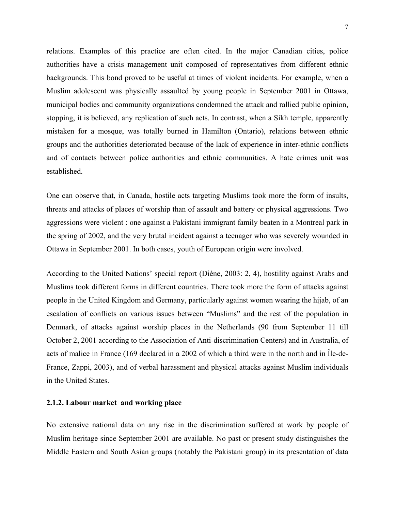relations. Examples of this practice are often cited. In the major Canadian cities, police authorities have a crisis management unit composed of representatives from different ethnic backgrounds. This bond proved to be useful at times of violent incidents. For example, when a Muslim adolescent was physically assaulted by young people in September 2001 in Ottawa, municipal bodies and community organizations condemned the attack and rallied public opinion, stopping, it is believed, any replication of such acts. In contrast, when a Sikh temple, apparently mistaken for a mosque, was totally burned in Hamilton (Ontario), relations between ethnic groups and the authorities deteriorated because of the lack of experience in inter-ethnic conflicts and of contacts between police authorities and ethnic communities. A hate crimes unit was established.

One can observe that, in Canada, hostile acts targeting Muslims took more the form of insults, threats and attacks of places of worship than of assault and battery or physical aggressions. Two aggressions were violent : one against a Pakistani immigrant family beaten in a Montreal park in the spring of 2002, and the very brutal incident against a teenager who was severely wounded in Ottawa in September 2001. In both cases, youth of European origin were involved.

According to the United Nations' special report (Diène, 2003: 2, 4), hostility against Arabs and Muslims took different forms in different countries. There took more the form of attacks against people in the United Kingdom and Germany, particularly against women wearing the hijab, of an escalation of conflicts on various issues between "Muslims" and the rest of the population in Denmark, of attacks against worship places in the Netherlands (90 from September 11 till October 2, 2001 according to the Association of Anti-discrimination Centers) and in Australia, of acts of malice in France (169 declared in a 2002 of which a third were in the north and in Île-de-France, Zappi, 2003), and of verbal harassment and physical attacks against Muslim individuals in the United States.

# **2.1.2. Labour market and working place**

No extensive national data on any rise in the discrimination suffered at work by people of Muslim heritage since September 2001 are available. No past or present study distinguishes the Middle Eastern and South Asian groups (notably the Pakistani group) in its presentation of data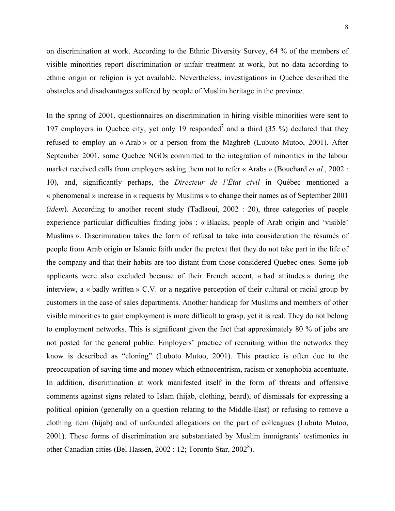on discrimination at work. According to the Ethnic Diversity Survey, 64 % of the members of visible minorities report discrimination or unfair treatment at work, but no data according to ethnic origin or religion is yet available. Nevertheless, investigations in Quebec described the obstacles and disadvantages suffered by people of Muslim heritage in the province.

In the spring of 2001, questionnaires on discrimination in hiring visible minorities were sent to 19[7](#page-32-6) employers in Quebec city, yet only 19 responded<sup>7</sup> and a third  $(35\%)$  declared that they refused to employ an « Arab » or a person from the Maghreb (Lubuto Mutoo, 2001). After September 2001, some Quebec NGOs committed to the integration of minorities in the labour market received calls from employers asking them not to refer « Arabs » (Bouchard *et al.*, 2002 : 10), and, significantly perhaps, the *Directeur de l'État civil* in Québec mentioned a « phenomenal » increase in « requests by Muslims » to change their names as of September 2001 (*idem*). According to another recent study (Tadlaoui, 2002 : 20), three categories of people experience particular difficulties finding jobs : « Blacks, people of Arab origin and 'visible' Muslims ». Discrimination takes the form of refusal to take into consideration the résumés of people from Arab origin or Islamic faith under the pretext that they do not take part in the life of the company and that their habits are too distant from those considered Quebec ones. Some job applicants were also excluded because of their French accent, « bad attitudes » during the interview, a « badly written » C.V. or a negative perception of their cultural or racial group by customers in the case of sales departments. Another handicap for Muslims and members of other visible minorities to gain employment is more difficult to grasp, yet it is real. They do not belong to employment networks. This is significant given the fact that approximately 80 % of jobs are not posted for the general public. Employers' practice of recruiting within the networks they know is described as "cloning" (Luboto Mutoo, 2001). This practice is often due to the preoccupation of saving time and money which ethnocentrism, racism or xenophobia accentuate. In addition, discrimination at work manifested itself in the form of threats and offensive comments against signs related to Islam (hijab, clothing, beard), of dismissals for expressing a political opinion (generally on a question relating to the Middle-East) or refusing to remove a clothing item (hijab) and of unfounded allegations on the part of colleagues (Lubuto Mutoo, 2001). These forms of discrimination are substantiated by Muslim immigrants' testimonies in other Canadian cities (Bel Hassen,  $2002 : 12$ ; Toronto Star,  $2002^8$ ).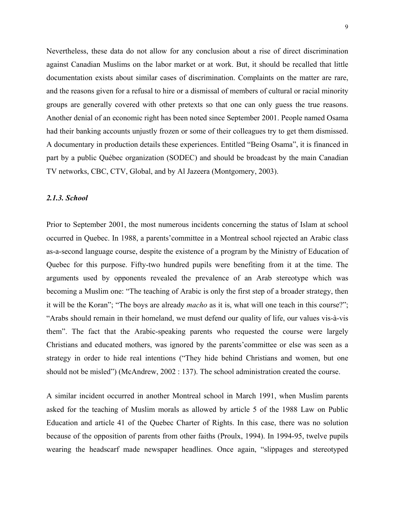Nevertheless, these data do not allow for any conclusion about a rise of direct discrimination against Canadian Muslims on the labor market or at work. But, it should be recalled that little documentation exists about similar cases of discrimination. Complaints on the matter are rare, and the reasons given for a refusal to hire or a dismissal of members of cultural or racial minority groups are generally covered with other pretexts so that one can only guess the true reasons. Another denial of an economic right has been noted since September 2001. People named Osama had their banking accounts unjustly frozen or some of their colleagues try to get them dismissed. A documentary in production details these experiences. Entitled "Being Osama", it is financed in part by a public Québec organization (SODEC) and should be broadcast by the main Canadian TV networks, CBC, CTV, Global, and by Al Jazeera (Montgomery, 2003).

#### *2.1.3. School*

Prior to September 2001, the most numerous incidents concerning the status of Islam at school occurred in Quebec. In 1988, a parents'committee in a Montreal school rejected an Arabic class as-a-second language course, despite the existence of a program by the Ministry of Education of Quebec for this purpose. Fifty-two hundred pupils were benefiting from it at the time. The arguments used by opponents revealed the prevalence of an Arab stereotype which was becoming a Muslim one: "The teaching of Arabic is only the first step of a broader strategy, then it will be the Koran"; "The boys are already *macho* as it is, what will one teach in this course?"; "Arabs should remain in their homeland, we must defend our quality of life, our values vis-à-vis them". The fact that the Arabic-speaking parents who requested the course were largely Christians and educated mothers, was ignored by the parents'committee or else was seen as a strategy in order to hide real intentions ("They hide behind Christians and women, but one should not be misled") (McAndrew, 2002 : 137). The school administration created the course.

A similar incident occurred in another Montreal school in March 1991, when Muslim parents asked for the teaching of Muslim morals as allowed by article 5 of the 1988 Law on Public Education and article 41 of the Quebec Charter of Rights. In this case, there was no solution because of the opposition of parents from other faiths (Proulx, 1994). In 1994-95, twelve pupils wearing the headscarf made newspaper headlines. Once again, "slippages and stereotyped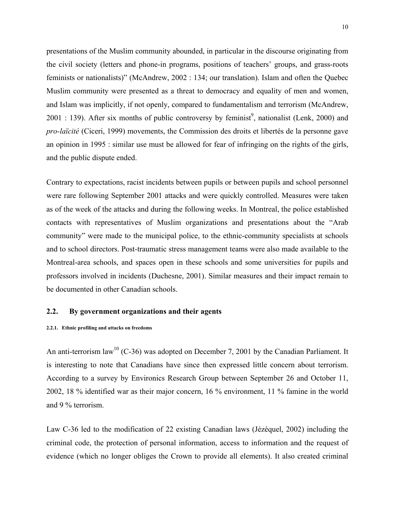presentations of the Muslim community abounded, in particular in the discourse originating from the civil society (letters and phone-in programs, positions of teachers' groups, and grass-roots feminists or nationalists)" (McAndrew, 2002 : 134; our translation). Islam and often the Quebec Muslim community were presented as a threat to democracy and equality of men and women, and Islam was implicitly, if not openly, compared to fundamentalism and terrorism (McAndrew,  $2001$ : 139). After six months of public controversy by feminist<sup>9</sup>, nationalist (Lenk, 2000) and *pro-laïcité* (Ciceri, 1999) movements, the Commission des droits et libertés de la personne gave an opinion in 1995 : similar use must be allowed for fear of infringing on the rights of the girls, and the public dispute ended.

Contrary to expectations, racist incidents between pupils or between pupils and school personnel were rare following September 2001 attacks and were quickly controlled. Measures were taken as of the week of the attacks and during the following weeks. In Montreal, the police established contacts with representatives of Muslim organizations and presentations about the "Arab community" were made to the municipal police, to the ethnic-community specialists at schools and to school directors. Post-traumatic stress management teams were also made available to the Montreal-area schools, and spaces open in these schools and some universities for pupils and professors involved in incidents (Duchesne, 2001). Similar measures and their impact remain to be documented in other Canadian schools.

#### **2.2. By government organizations and their agents**

#### **2.2.1. Ethnic profiling and attacks on freedoms**

An anti-terrorism law<sup>10</sup> (C-36) was adopted on December 7, 2001 by the Canadian Parliament. It is interesting to note that Canadians have since then expressed little concern about terrorism. According to a survey by Environics Research Group between September 26 and October 11, 2002, 18 % identified war as their major concern, 16 % environment, 11 % famine in the world and 9 % terrorism.

Law C-36 led to the modification of 22 existing Canadian laws (Jézéquel, 2002) including the criminal code, the protection of personal information, access to information and the request of evidence (which no longer obliges the Crown to provide all elements). It also created criminal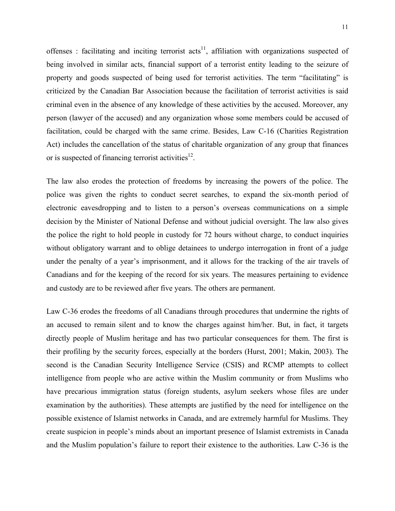offenses : facilitating and inciting terrorist  $\arctan x$ <sup>11</sup>, affiliation with organizations suspected of being involved in similar acts, financial support of a terrorist entity leading to the seizure of property and goods suspected of being used for terrorist activities. The term "facilitating" is criticized by the Canadian Bar Association because the facilitation of terrorist activities is said criminal even in the absence of any knowledge of these activities by the accused. Moreover, any person (lawyer of the accused) and any organization whose some members could be accused of facilitation, could be charged with the same crime. Besides, Law C-16 (Charities Registration Act) includes the cancellation of the status of charitable organization of any group that finances or is suspected of financing terrorist activities $^{12}$ .

The law also erodes the protection of freedoms by increasing the powers of the police. The police was given the rights to conduct secret searches, to expand the six-month period of electronic eavesdropping and to listen to a person's overseas communications on a simple decision by the Minister of National Defense and without judicial oversight. The law also gives the police the right to hold people in custody for 72 hours without charge, to conduct inquiries without obligatory warrant and to oblige detainees to undergo interrogation in front of a judge under the penalty of a year's imprisonment, and it allows for the tracking of the air travels of Canadians and for the keeping of the record for six years. The measures pertaining to evidence and custody are to be reviewed after five years. The others are permanent.

Law C-36 erodes the freedoms of all Canadians through procedures that undermine the rights of an accused to remain silent and to know the charges against him/her. But, in fact, it targets directly people of Muslim heritage and has two particular consequences for them. The first is their profiling by the security forces, especially at the borders (Hurst, 2001; Makin, 2003). The second is the Canadian Security Intelligence Service (CSIS) and RCMP attempts to collect intelligence from people who are active within the Muslim community or from Muslims who have precarious immigration status (foreign students, asylum seekers whose files are under examination by the authorities). These attempts are justified by the need for intelligence on the possible existence of Islamist networks in Canada, and are extremely harmful for Muslims. They create suspicion in people's minds about an important presence of Islamist extremists in Canada and the Muslim population's failure to report their existence to the authorities. Law C-36 is the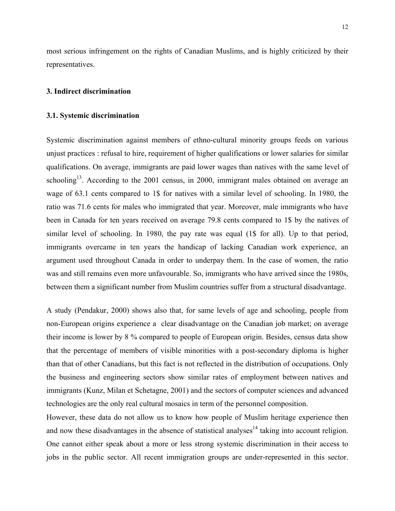most serious infringement on the rights of Canadian Muslims, and is highly criticized by their representatives.

# **3. Indirect discrimination**

#### **3.1. Systemic discrimination**

Systemic discrimination against members of ethno-cultural minority groups feeds on various unjust practices : refusal to hire, requirement of higher qualifications or lower salaries for similar qualifications. On average, immigrants are paid lower wages than natives with the same level of schooling<sup>13</sup>. According to the 2001 census, in 2000, immigrant males obtained on average an wage of 63.1 cents compared to 1\$ for natives with a similar level of schooling. In 1980, the ratio was 71.6 cents for males who immigrated that year. Moreover, male immigrants who have been in Canada for ten years received on average 79.8 cents compared to 1\$ by the natives of similar level of schooling. In 1980, the pay rate was equal (1\$ for all). Up to that period, immigrants overcame in ten years the handicap of lacking Canadian work experience, an argument used throughout Canada in order to underpay them. In the case of women, the ratio was and still remains even more unfavourable. So, immigrants who have arrived since the 1980s, between them a significant number from Muslim countries suffer from a structural disadvantage.

A study (Pendakur, 2000) shows also that, for same levels of age and schooling, people from non-European origins experience a clear disadvantage on the Canadian job market; on average their income is lower by 8 % compared to people of European origin. Besides, census data show that the percentage of members of visible minorities with a post-secondary diploma is higher than that of other Canadians, but this fact is not reflected in the distribution of occupations. Only the business and engineering sectors show similar rates of employment between natives and immigrants (Kunz, Milan et Schetagne, 2001) and the sectors of computer sciences and advanced technologies are the only real cultural mosaics in term of the personnel composition.

However, these data do not allow us to know how people of Muslim heritage experience then and now these disadvantages in the absence of statistical analyses<sup>14</sup> taking into account religion. One cannot either speak about a more or less strong systemic discrimination in their access to jobs in the public sector. All recent immigration groups are under-represented in this sector.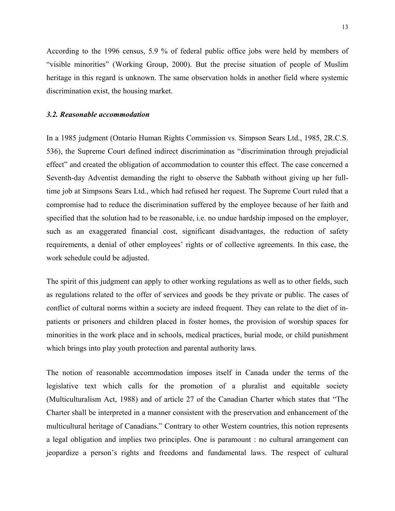According to the 1996 census, 5.9 % of federal public office jobs were held by members of "visible minorities" (Working Group, 2000). But the precise situation of people of Muslim heritage in this regard is unknown. The same observation holds in another field where systemic discrimination exist, the housing market.

#### *3.2. Reasonable accommodation*

In a 1985 judgment (Ontario Human Rights Commission vs. Simpson Sears Ltd., 1985, 2R.C.S. 536), the Supreme Court defined indirect discrimination as "discrimination through prejudicial effect" and created the obligation of accommodation to counter this effect. The case concerned a Seventh-day Adventist demanding the right to observe the Sabbath without giving up her fulltime job at Simpsons Sears Ltd., which had refused her request. The Supreme Court ruled that a compromise had to reduce the discrimination suffered by the employee because of her faith and specified that the solution had to be reasonable, i.e. no undue hardship imposed on the employer, such as an exaggerated financial cost, significant disadvantages, the reduction of safety requirements, a denial of other employees' rights or of collective agreements. In this case, the work schedule could be adjusted.

The spirit of this judgment can apply to other working regulations as well as to other fields, such as regulations related to the offer of services and goods be they private or public. The cases of conflict of cultural norms within a society are indeed frequent. They can relate to the diet of inpatients or prisoners and children placed in foster homes, the provision of worship spaces for minorities in the work place and in schools, medical practices, burial mode, or child punishment which brings into play youth protection and parental authority laws.

The notion of reasonable accommodation imposes itself in Canada under the terms of the legislative text which calls for the promotion of a pluralist and equitable society (Multiculturalism Act, 1988) and of article 27 of the Canadian Charter which states that "The Charter shall be interpreted in a manner consistent with the preservation and enhancement of the multicultural heritage of Canadians." Contrary to other Western countries, this notion represents a legal obligation and implies two principles. One is paramount : no cultural arrangement can jeopardize a person's rights and freedoms and fundamental laws. The respect of cultural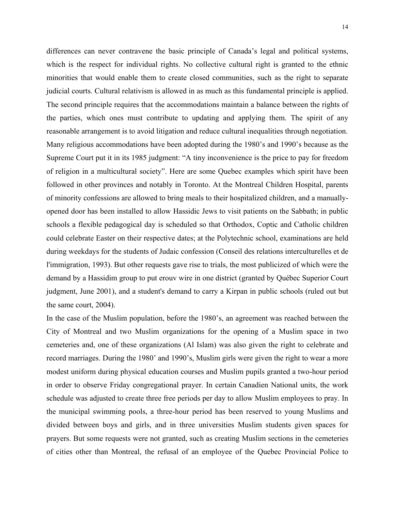differences can never contravene the basic principle of Canada's legal and political systems, which is the respect for individual rights. No collective cultural right is granted to the ethnic minorities that would enable them to create closed communities, such as the right to separate judicial courts. Cultural relativism is allowed in as much as this fundamental principle is applied. The second principle requires that the accommodations maintain a balance between the rights of the parties, which ones must contribute to updating and applying them. The spirit of any reasonable arrangement is to avoid litigation and reduce cultural inequalities through negotiation. Many religious accommodations have been adopted during the 1980's and 1990's because as the Supreme Court put it in its 1985 judgment: "A tiny inconvenience is the price to pay for freedom of religion in a multicultural society". Here are some Quebec examples which spirit have been followed in other provinces and notably in Toronto. At the Montreal Children Hospital, parents of minority confessions are allowed to bring meals to their hospitalized children, and a manuallyopened door has been installed to allow Hassidic Jews to visit patients on the Sabbath; in public schools a flexible pedagogical day is scheduled so that Orthodox, Coptic and Catholic children could celebrate Easter on their respective dates; at the Polytechnic school, examinations are held during weekdays for the students of Judaic confession (Conseil des relations interculturelles et de l'immigration, 1993). But other requests gave rise to trials, the most publicized of which were the demand by a Hassidim group to put erouv wire in one district (granted by Québec Superior Court judgment, June 2001), and a student's demand to carry a Kirpan in public schools (ruled out but the same court, 2004).

In the case of the Muslim population, before the 1980's, an agreement was reached between the City of Montreal and two Muslim organizations for the opening of a Muslim space in two cemeteries and, one of these organizations (Al Islam) was also given the right to celebrate and record marriages. During the 1980' and 1990's, Muslim girls were given the right to wear a more modest uniform during physical education courses and Muslim pupils granted a two-hour period in order to observe Friday congregational prayer. In certain Canadien National units, the work schedule was adjusted to create three free periods per day to allow Muslim employees to pray. In the municipal swimming pools, a three-hour period has been reserved to young Muslims and divided between boys and girls, and in three universities Muslim students given spaces for prayers. But some requests were not granted, such as creating Muslim sections in the cemeteries of cities other than Montreal, the refusal of an employee of the Quebec Provincial Police to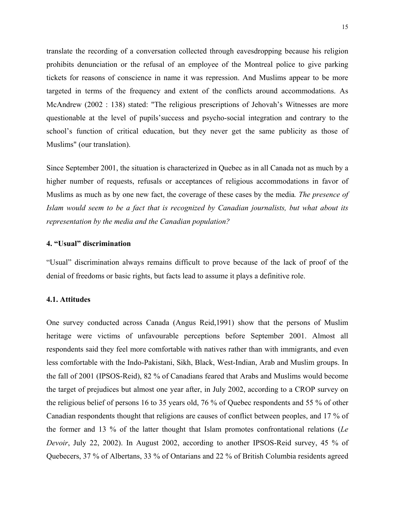translate the recording of a conversation collected through eavesdropping because his religion prohibits denunciation or the refusal of an employee of the Montreal police to give parking tickets for reasons of conscience in name it was repression. And Muslims appear to be more targeted in terms of the frequency and extent of the conflicts around accommodations. As McAndrew (2002 : 138) stated: "The religious prescriptions of Jehovah's Witnesses are more questionable at the level of pupils'success and psycho-social integration and contrary to the school's function of critical education, but they never get the same publicity as those of Muslims" (our translation).

Since September 2001, the situation is characterized in Quebec as in all Canada not as much by a higher number of requests, refusals or acceptances of religious accommodations in favor of Muslims as much as by one new fact, the coverage of these cases by the media*. The presence of Islam would seem to be a fact that is recognized by Canadian journalists, but what about its representation by the media and the Canadian population?* 

#### **4. "Usual" discrimination**

"Usual" discrimination always remains difficult to prove because of the lack of proof of the denial of freedoms or basic rights, but facts lead to assume it plays a definitive role.

# **4.1. Attitudes**

One survey conducted across Canada (Angus Reid,1991) show that the persons of Muslim heritage were victims of unfavourable perceptions before September 2001. Almost all respondents said they feel more comfortable with natives rather than with immigrants, and even less comfortable with the Indo-Pakistani, Sikh, Black, West-Indian, Arab and Muslim groups. In the fall of 2001 (IPSOS-Reid), 82 % of Canadians feared that Arabs and Muslims would become the target of prejudices but almost one year after, in July 2002, according to a CROP survey on the religious belief of persons 16 to 35 years old, 76 % of Quebec respondents and 55 % of other Canadian respondents thought that religions are causes of conflict between peoples, and 17 % of the former and 13 % of the latter thought that Islam promotes confrontational relations (*Le Devoir*, July 22, 2002). In August 2002, according to another IPSOS-Reid survey, 45 % of Quebecers, 37 % of Albertans, 33 % of Ontarians and 22 % of British Columbia residents agreed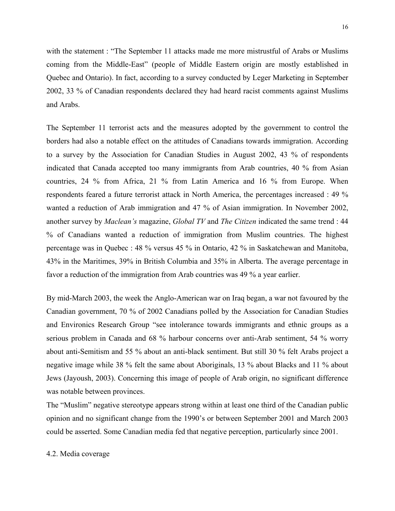16

with the statement : "The September 11 attacks made me more mistrustful of Arabs or Muslims coming from the Middle-East" (people of Middle Eastern origin are mostly established in Quebec and Ontario). In fact, according to a survey conducted by Leger Marketing in September 2002, 33 % of Canadian respondents declared they had heard racist comments against Muslims and Arabs.

The September 11 terrorist acts and the measures adopted by the government to control the borders had also a notable effect on the attitudes of Canadians towards immigration. According to a survey by the Association for Canadian Studies in August 2002, 43 % of respondents indicated that Canada accepted too many immigrants from Arab countries, 40 % from Asian countries, 24 % from Africa, 21 % from Latin America and 16 % from Europe. When respondents feared a future terrorist attack in North America, the percentages increased : 49 % wanted a reduction of Arab immigration and 47 % of Asian immigration. In November 2002, another survey by *Maclean's* magazine, *Global TV* and *The Citizen* indicated the same trend : 44 % of Canadians wanted a reduction of immigration from Muslim countries. The highest percentage was in Quebec : 48 % versus 45 % in Ontario, 42 % in Saskatchewan and Manitoba, 43% in the Maritimes, 39% in British Columbia and 35% in Alberta. The average percentage in favor a reduction of the immigration from Arab countries was 49 % a year earlier.

By mid-March 2003, the week the Anglo-American war on Iraq began, a war not favoured by the Canadian government, 70 % of 2002 Canadians polled by the Association for Canadian Studies and Environics Research Group "see intolerance towards immigrants and ethnic groups as a serious problem in Canada and 68 % harbour concerns over anti-Arab sentiment, 54 % worry about anti-Semitism and 55 % about an anti-black sentiment. But still 30 % felt Arabs project a negative image while 38 % felt the same about Aboriginals, 13 % about Blacks and 11 % about Jews (Jayoush, 2003). Concerning this image of people of Arab origin, no significant difference was notable between provinces.

The "Muslim" negative stereotype appears strong within at least one third of the Canadian public opinion and no significant change from the 1990's or between September 2001 and March 2003 could be asserted. Some Canadian media fed that negative perception, particularly since 2001.

# 4.2. Media coverage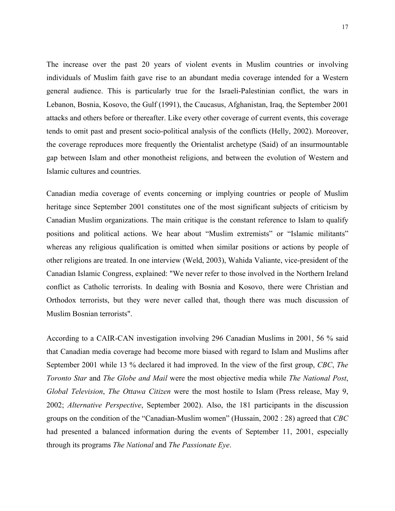The increase over the past 20 years of violent events in Muslim countries or involving individuals of Muslim faith gave rise to an abundant media coverage intended for a Western general audience. This is particularly true for the Israeli-Palestinian conflict, the wars in Lebanon, Bosnia, Kosovo, the Gulf (1991), the Caucasus, Afghanistan, Iraq, the September 2001 attacks and others before or thereafter. Like every other coverage of current events, this coverage tends to omit past and present socio-political analysis of the conflicts (Helly, 2002). Moreover, the coverage reproduces more frequently the Orientalist archetype (Said) of an insurmountable gap between Islam and other monotheist religions, and between the evolution of Western and Islamic cultures and countries.

Canadian media coverage of events concerning or implying countries or people of Muslim heritage since September 2001 constitutes one of the most significant subjects of criticism by Canadian Muslim organizations. The main critique is the constant reference to Islam to qualify positions and political actions. We hear about "Muslim extremists" or "Islamic militants" whereas any religious qualification is omitted when similar positions or actions by people of other religions are treated. In one interview (Weld, 2003), Wahida Valiante, vice-president of the Canadian Islamic Congress, explained: "We never refer to those involved in the Northern Ireland conflict as Catholic terrorists. In dealing with Bosnia and Kosovo, there were Christian and Orthodox terrorists, but they were never called that, though there was much discussion of Muslim Bosnian terrorists".

According to a CAIR-CAN investigation involving 296 Canadian Muslims in 2001, 56 % said that Canadian media coverage had become more biased with regard to Islam and Muslims after September 2001 while 13 % declared it had improved. In the view of the first group, *CBC*, *The Toronto Star* and *The Globe and Mail* were the most objective media while *The National Post*, *Global Television*, *The Ottawa Citizen* were the most hostile to Islam (Press release, May 9, 2002; *Alternative Perspective*, September 2002). Also, the 181 participants in the discussion groups on the condition of the "Canadian-Muslim women" (Hussain, 2002 : 28) agreed that *CBC* had presented a balanced information during the events of September 11, 2001, especially through its programs *The National* and *The Passionate Eye*.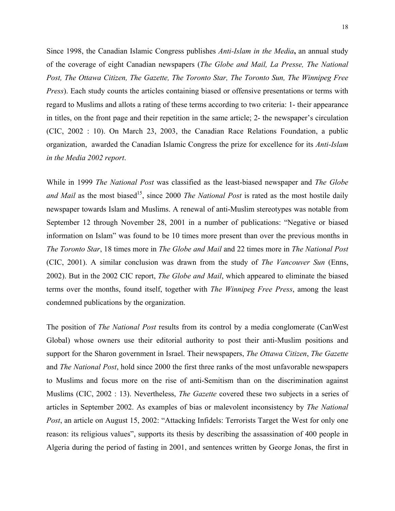Since 1998, the Canadian Islamic Congress publishes *Anti-Islam in the Media***,** an annual study of the coverage of eight Canadian newspapers (*The Globe and Mail, La Presse, The National Post, The Ottawa Citizen, The Gazette, The Toronto Star, The Toronto Sun, The Winnipeg Free Press*). Each study counts the articles containing biased or offensive presentations or terms with regard to Muslims and allots a rating of these terms according to two criteria: 1- their appearance in titles, on the front page and their repetition in the same article; 2- the newspaper's circulation (CIC, 2002 : 10). On March 23, 2003, the Canadian Race Relations Foundation, a public organization, awarded the Canadian Islamic Congress the prize for excellence for its *Anti-Islam in the Media 2002 report*.

While in 1999 *The National Post* was classified as the least-biased newspaper and *The Globe and Mail* as the most biased<sup>15</sup>, since 2000 *The National Post* is rated as the most hostile daily newspaper towards Islam and Muslims. A renewal of anti-Muslim stereotypes was notable from September 12 through November 28, 2001 in a number of publications: "Negative or biased information on Islam" was found to be 10 times more present than over the previous months in *The Toronto Star*, 18 times more in *The Globe and Mail* and 22 times more in *The National Post* (CIC, 2001). A similar conclusion was drawn from the study of *The Vancouver Sun* (Enns, 2002). But in the 2002 CIC report, *The Globe and Mail*, which appeared to eliminate the biased terms over the months, found itself, together with *The Winnipeg Free Press*, among the least condemned publications by the organization.

The position of *The National Post* results from its control by a media conglomerate (CanWest Global) whose owners use their editorial authority to post their anti-Muslim positions and support for the Sharon government in Israel. Their newspapers, *The Ottawa Citizen*, *The Gazette* and *The National Post*, hold since 2000 the first three ranks of the most unfavorable newspapers to Muslims and focus more on the rise of anti-Semitism than on the discrimination against Muslims (CIC, 2002 : 13). Nevertheless, *The Gazette* covered these two subjects in a series of articles in September 2002. As examples of bias or malevolent inconsistency by *The National Post*, an article on August 15, 2002: "Attacking Infidels: Terrorists Target the West for only one reason: its religious values", supports its thesis by describing the assassination of 400 people in Algeria during the period of fasting in 2001, and sentences written by George Jonas, the first in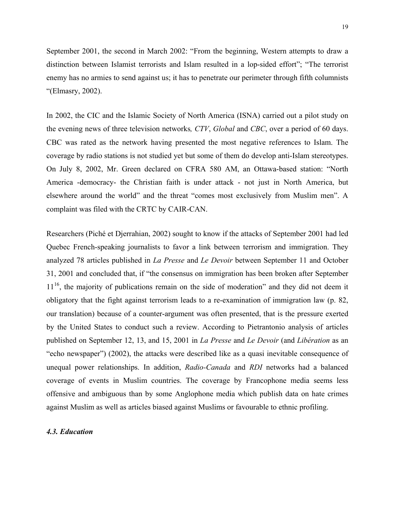September 2001, the second in March 2002: "From the beginning, Western attempts to draw a distinction between Islamist terrorists and Islam resulted in a lop-sided effort"; "The terrorist enemy has no armies to send against us; it has to penetrate our perimeter through fifth columnists "(Elmasry, 2002).

In 2002, the CIC and the Islamic Society of North America (ISNA) carried out a pilot study on the evening news of three television networks*, CTV*, *Global* and *CBC*, over a period of 60 days. CBC was rated as the network having presented the most negative references to Islam. The coverage by radio stations is not studied yet but some of them do develop anti-Islam stereotypes. On July 8, 2002, Mr. Green declared on CFRA 580 AM, an Ottawa-based station: "North America -democracy- the Christian faith is under attack - not just in North America, but elsewhere around the world" and the threat "comes most exclusively from Muslim men". A complaint was filed with the CRTC by CAIR-CAN.

Researchers (Piché et Djerrahian, 2002) sought to know if the attacks of September 2001 had led Quebec French-speaking journalists to favor a link between terrorism and immigration. They analyzed 78 articles published in *La Presse* and *Le Devoir* between September 11 and October 31, 2001 and concluded that, if "the consensus on immigration has been broken after September  $11<sup>16</sup>$ , the majority of publications remain on the side of moderation" and they did not deem it obligatory that the fight against terrorism leads to a re-examination of immigration law (p. 82, our translation) because of a counter-argument was often presented, that is the pressure exerted by the United States to conduct such a review. According to Pietrantonio analysis of articles published on September 12, 13, and 15, 2001 in *La Presse* and *Le Devoir* (and *Libération* as an "echo newspaper") (2002), the attacks were described like as a quasi inevitable consequence of unequal power relationships. In addition, *Radio-Canada* and *RDI* networks had a balanced coverage of events in Muslim countries. The coverage by Francophone media seems less offensive and ambiguous than by some Anglophone media which publish data on hate crimes against Muslim as well as articles biased against Muslims or favourable to ethnic profiling.

#### *4.3. Education*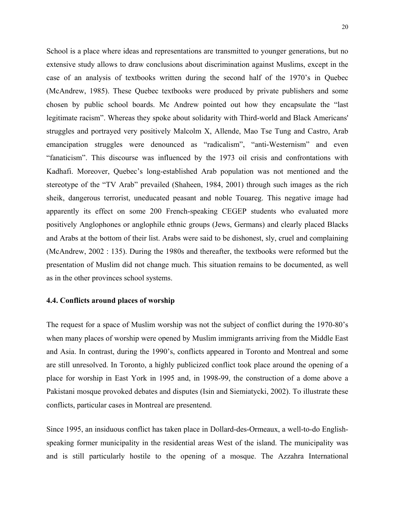School is a place where ideas and representations are transmitted to younger generations, but no extensive study allows to draw conclusions about discrimination against Muslims, except in the case of an analysis of textbooks written during the second half of the 1970's in Quebec (McAndrew, 1985). These Quebec textbooks were produced by private publishers and some chosen by public school boards. Mc Andrew pointed out how they encapsulate the "last legitimate racism". Whereas they spoke about solidarity with Third-world and Black Americans' struggles and portrayed very positively Malcolm X, Allende, Mao Tse Tung and Castro, Arab emancipation struggles were denounced as "radicalism", "anti-Westernism" and even "fanaticism". This discourse was influenced by the 1973 oil crisis and confrontations with Kadhafi. Moreover, Quebec's long-established Arab population was not mentioned and the stereotype of the "TV Arab" prevailed (Shaheen, 1984, 2001) through such images as the rich sheik, dangerous terrorist, uneducated peasant and noble Touareg. This negative image had apparently its effect on some 200 French-speaking CEGEP students who evaluated more positively Anglophones or anglophile ethnic groups (Jews, Germans) and clearly placed Blacks and Arabs at the bottom of their list. Arabs were said to be dishonest, sly, cruel and complaining (McAndrew, 2002 : 135). During the 1980s and thereafter, the textbooks were reformed but the presentation of Muslim did not change much. This situation remains to be documented, as well as in the other provinces school systems.

# **4.4. Conflicts around places of worship**

The request for a space of Muslim worship was not the subject of conflict during the 1970-80's when many places of worship were opened by Muslim immigrants arriving from the Middle East and Asia. In contrast, during the 1990's, conflicts appeared in Toronto and Montreal and some are still unresolved. In Toronto, a highly publicized conflict took place around the opening of a place for worship in East York in 1995 and, in 1998-99, the construction of a dome above a Pakistani mosque provoked debates and disputes (Isin and Siemiatycki, 2002). To illustrate these conflicts, particular cases in Montreal are presentend.

Since 1995, an insiduous conflict has taken place in Dollard-des-Ormeaux, a well-to-do Englishspeaking former municipality in the residential areas West of the island. The municipality was and is still particularly hostile to the opening of a mosque. The Azzahra International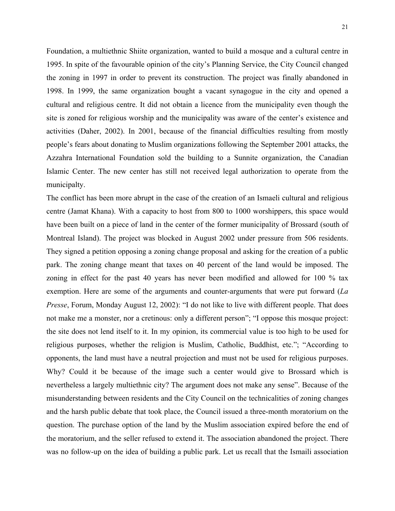Foundation, a multiethnic Shiite organization, wanted to build a mosque and a cultural centre in 1995. In spite of the favourable opinion of the city's Planning Service, the City Council changed the zoning in 1997 in order to prevent its construction. The project was finally abandoned in 1998. In 1999, the same organization bought a vacant synagogue in the city and opened a cultural and religious centre. It did not obtain a licence from the municipality even though the site is zoned for religious worship and the municipality was aware of the center's existence and activities (Daher, 2002). In 2001, because of the financial difficulties resulting from mostly people's fears about donating to Muslim organizations following the September 2001 attacks, the Azzahra International Foundation sold the building to a Sunnite organization, the Canadian Islamic Center. The new center has still not received legal authorization to operate from the municipalty.

The conflict has been more abrupt in the case of the creation of an Ismaeli cultural and religious centre (Jamat Khana). With a capacity to host from 800 to 1000 worshippers, this space would have been built on a piece of land in the center of the former municipality of Brossard (south of Montreal Island). The project was blocked in August 2002 under pressure from 506 residents. They signed a petition opposing a zoning change proposal and asking for the creation of a public park. The zoning change meant that taxes on 40 percent of the land would be imposed. The zoning in effect for the past 40 years has never been modified and allowed for 100 % tax exemption. Here are some of the arguments and counter-arguments that were put forward (*La Presse*, Forum, Monday August 12, 2002): "I do not like to live with different people. That does not make me a monster, nor a cretinous: only a different person"; "I oppose this mosque project: the site does not lend itself to it. In my opinion, its commercial value is too high to be used for religious purposes, whether the religion is Muslim, Catholic, Buddhist, etc."; "According to opponents, the land must have a neutral projection and must not be used for religious purposes. Why? Could it be because of the image such a center would give to Brossard which is nevertheless a largely multiethnic city? The argument does not make any sense". Because of the misunderstanding between residents and the City Council on the technicalities of zoning changes and the harsh public debate that took place, the Council issued a three-month moratorium on the question. The purchase option of the land by the Muslim association expired before the end of the moratorium, and the seller refused to extend it. The association abandoned the project. There was no follow-up on the idea of building a public park. Let us recall that the Ismaili association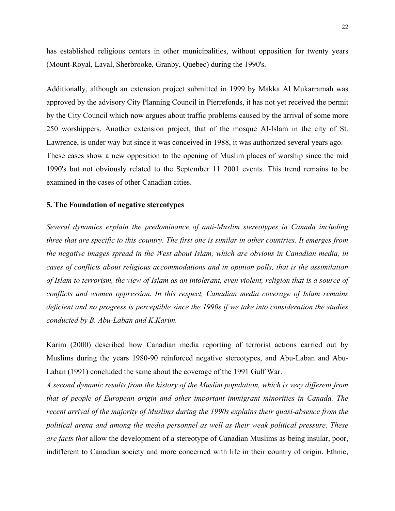has established religious centers in other municipalities, without opposition for twenty years (Mount-Royal, Laval, Sherbrooke, Granby, Quebec) during the 1990's.

Additionally, although an extension project submitted in 1999 by Makka Al Mukarramah was approved by the advisory City Planning Council in Pierrefonds, it has not yet received the permit by the City Council which now argues about traffic problems caused by the arrival of some more 250 worshippers. Another extension project, that of the mosque Al-Islam in the city of St. Lawrence, is under way but since it was conceived in 1988, it was authorized several years ago. These cases show a new opposition to the opening of Muslim places of worship since the mid 1990's but not obviously related to the September 11 2001 events. This trend remains to be examined in the cases of other Canadian cities.

#### **5. The Foundation of negative stereotypes**

*Several dynamics explain the predominance of anti-Muslim stereotypes in Canada including three that are specific to this country. The first one is similar in other countries. It emerges from the negative images spread in the West about Islam, which are obvious in Canadian media, in cases of conflicts about religious accommodations and in opinion polls, that is the assimilation of Islam to terrorism, the view of Islam as an intolerant, even violent, religion that is a source of conflicts and women oppression. In this respect, Canadian media coverage of Islam remains deficient and no progress is perceptible since the 1990s if we take into consideration the studies conducted by B. Abu-Laban and K.Karim.* 

Karim (2000) described how Canadian media reporting of terrorist actions carried out by Muslims during the years 1980-90 reinforced negative stereotypes, and Abu-Laban and Abu-Laban (1991) concluded the same about the coverage of the 1991 Gulf War.

*A second dynamic results from the history of the Muslim population, which is very different from that of people of European origin and other important immigrant minorities in Canada. The recent arrival of the majority of Muslims during the 1990s explains their quasi-absence from the political arena and among the media personnel as well as their weak political pressure. These are facts that* allow the development of a stereotype of Canadian Muslims as being insular, poor, indifferent to Canadian society and more concerned with life in their country of origin. Ethnic,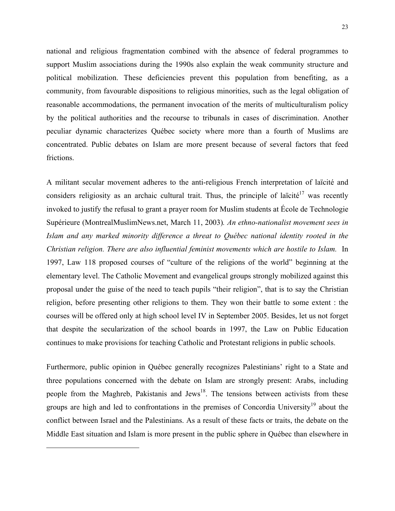national and religious fragmentation combined with the absence of federal programmes to support Muslim associations during the 1990s also explain the weak community structure and political mobilization. These deficiencies prevent this population from benefiting, as a community, from favourable dispositions to religious minorities, such as the legal obligation of reasonable accommodations, the permanent invocation of the merits of multiculturalism policy by the political authorities and the recourse to tribunals in cases of discrimination. Another peculiar dynamic characterizes Québec society where more than a fourth of Muslims are concentrated. Public debates on Islam are more present because of several factors that feed frictions.

A militant secular movement adheres to the anti-religious French interpretation of laïcité and considers religiosity as an archaic cultural trait. Thus, the principle of laïcité<sup>17</sup> was recently invoked to justify the refusal to grant a prayer room for Muslim students at École de Technologie Supérieure (MontrealMuslimNews.net, March 11, 2003)*. An ethno-nationalist movement sees in Islam and any marked minority difference a threat to Québec national identity rooted in the Christian religion. There are also influential feminist movements which are hostile to Islam.* In 1997, Law 118 proposed courses of "culture of the religions of the world" beginning at the elementary level. The Catholic Movement and evangelical groups strongly mobilized against this proposal under the guise of the need to teach pupils "their religion", that is to say the Christian religion, before presenting other religions to them. They won their battle to some extent : the courses will be offered only at high school level IV in September 2005. Besides, let us not forget that despite the secularization of the school boards in 1997, the Law on Public Education continues to make provisions for teaching Catholic and Protestant religions in public schools.

Furthermore, public opinion in Québec generally recognizes Palestinians' right to a State and three populations concerned with the debate on Islam are strongly present: Arabs, including people from the Maghreb, Pakistanis and Jews<sup>18</sup>. The tensions between activists from these groups are high and led to confrontations in the premises of Concordia University<sup>[19](#page-22-1)</sup> about the conflict between Israel and the Palestinians. As a result of these facts or traits, the debate on the Middle East situation and Islam is more present in the public sphere in Québec than elsewhere in

<span id="page-22-1"></span><span id="page-22-0"></span> $\overline{a}$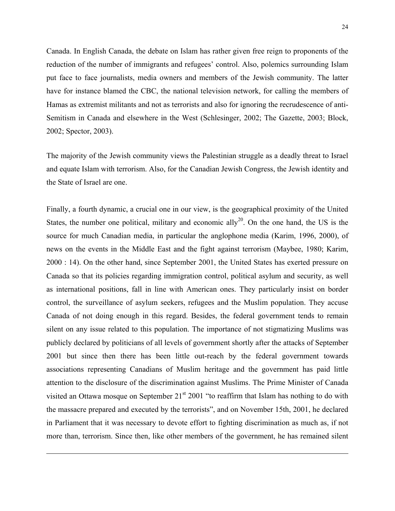Canada. In English Canada, the debate on Islam has rather given free reign to proponents of the reduction of the number of immigrants and refugees' control. Also, polemics surrounding Islam put face to face journalists, media owners and members of the Jewish community. The latter have for instance blamed the CBC, the national television network, for calling the members of Hamas as extremist militants and not as terrorists and also for ignoring the recrudescence of anti-Semitism in Canada and elsewhere in the West (Schlesinger, 2002; The Gazette, 2003; Block, 2002; Spector, 2003).

The majority of the Jewish community views the Palestinian struggle as a deadly threat to Israel and equate Islam with terrorism. Also, for the Canadian Jewish Congress, the Jewish identity and the State of Israel are one.

Finally, a fourth dynamic, a crucial one in our view, is the geographical proximity of the United States, the number one political, military and economic ally<sup>20</sup>. On the one hand, the US is the source for much Canadian media, in particular the anglophone media (Karim, 1996, 2000), of news on the events in the Middle East and the fight against terrorism (Maybee, 1980; Karim, 2000 : 14). On the other hand, since September 2001, the United States has exerted pressure on Canada so that its policies regarding immigration control, political asylum and security, as well as international positions, fall in line with American ones. They particularly insist on border control, the surveillance of asylum seekers, refugees and the Muslim population. They accuse Canada of not doing enough in this regard. Besides, the federal government tends to remain silent on any issue related to this population. The importance of not stigmatizing Muslims was publicly declared by politicians of all levels of government shortly after the attacks of September 2001 but since then there has been little out-reach by the federal government towards associations representing Canadians of Muslim heritage and the government has paid little attention to the disclosure of the discrimination against Muslims. The Prime Minister of Canada visited an Ottawa mosque on September  $21<sup>st</sup> 2001$  "to reaffirm that Islam has nothing to do with the massacre prepared and executed by the terrorists", and on November 15th, 2001, he declared in Parliament that it was necessary to devote effort to fighting discrimination as much as, if not more than, terrorism. Since then, like other members of the government, he has remained silent

 $\overline{a}$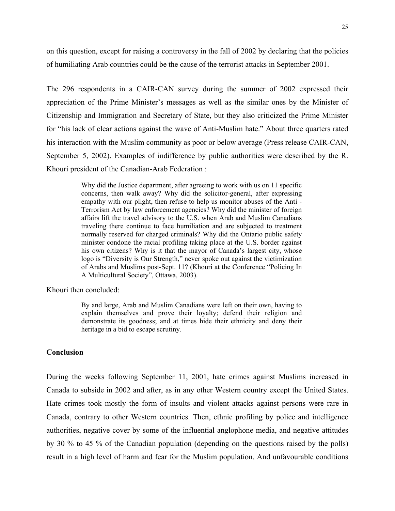on this question, except for raising a controversy in the fall of 2002 by declaring that the policies of humiliating Arab countries could be the cause of the terrorist attacks in September 2001.

The 296 respondents in a CAIR-CAN survey during the summer of 2002 expressed their appreciation of the Prime Minister's messages as well as the similar ones by the Minister of Citizenship and Immigration and Secretary of State, but they also criticized the Prime Minister for "his lack of clear actions against the wave of Anti-Muslim hate." About three quarters rated his interaction with the Muslim community as poor or below average (Press release CAIR-CAN, September 5, 2002). Examples of indifference by public authorities were described by the R. Khouri president of the Canadian-Arab Federation :

> Why did the Justice department, after agreeing to work with us on 11 specific concerns, then walk away? Why did the solicitor-general, after expressing empathy with our plight, then refuse to help us monitor abuses of the Anti - Terrorism Act by law enforcement agencies? Why did the minister of foreign affairs lift the travel advisory to the U.S. when Arab and Muslim Canadians traveling there continue to face humiliation and are subjected to treatment normally reserved for charged criminals? Why did the Ontario public safety minister condone the racial profiling taking place at the U.S. border against his own citizens? Why is it that the mayor of Canada's largest city, whose logo is "Diversity is Our Strength," never spoke out against the victimization of Arabs and Muslims post-Sept. 11? (Khouri at the Conference "Policing In A Multicultural Society", Ottawa, 2003).

Khouri then concluded:

By and large, Arab and Muslim Canadians were left on their own, having to explain themselves and prove their loyalty; defend their religion and demonstrate its goodness; and at times hide their ethnicity and deny their heritage in a bid to escape scrutiny.

#### **Conclusion**

During the weeks following September 11, 2001, hate crimes against Muslims increased in Canada to subside in 2002 and after, as in any other Western country except the United States. Hate crimes took mostly the form of insults and violent attacks against persons were rare in Canada, contrary to other Western countries. Then, ethnic profiling by police and intelligence authorities, negative cover by some of the influential anglophone media, and negative attitudes by 30 % to 45 % of the Canadian population (depending on the questions raised by the polls) result in a high level of harm and fear for the Muslim population. And unfavourable conditions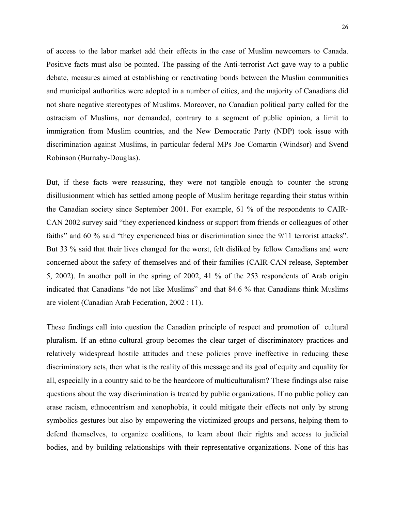of access to the labor market add their effects in the case of Muslim newcomers to Canada. Positive facts must also be pointed. The passing of the Anti-terrorist Act gave way to a public debate, measures aimed at establishing or reactivating bonds between the Muslim communities and municipal authorities were adopted in a number of cities, and the majority of Canadians did not share negative stereotypes of Muslims. Moreover, no Canadian political party called for the ostracism of Muslims, nor demanded, contrary to a segment of public opinion, a limit to immigration from Muslim countries, and the New Democratic Party (NDP) took issue with discrimination against Muslims, in particular federal MPs Joe Comartin (Windsor) and Svend Robinson (Burnaby-Douglas).

But, if these facts were reassuring, they were not tangible enough to counter the strong disillusionment which has settled among people of Muslim heritage regarding their status within the Canadian society since September 2001. For example, 61 % of the respondents to CAIR-CAN 2002 survey said "they experienced kindness or support from friends or colleagues of other faiths" and 60 % said "they experienced bias or discrimination since the 9/11 terrorist attacks". But 33 % said that their lives changed for the worst, felt disliked by fellow Canadians and were concerned about the safety of themselves and of their families (CAIR-CAN release, September 5, 2002). In another poll in the spring of 2002, 41 % of the 253 respondents of Arab origin indicated that Canadians "do not like Muslims" and that 84.6 % that Canadians think Muslims are violent (Canadian Arab Federation, 2002 : 11).

These findings call into question the Canadian principle of respect and promotion of cultural pluralism. If an ethno-cultural group becomes the clear target of discriminatory practices and relatively widespread hostile attitudes and these policies prove ineffective in reducing these discriminatory acts, then what is the reality of this message and its goal of equity and equality for all, especially in a country said to be the heardcore of multiculturalism? These findings also raise questions about the way discrimination is treated by public organizations. If no public policy can erase racism, ethnocentrism and xenophobia, it could mitigate their effects not only by strong symbolics gestures but also by empowering the victimized groups and persons, helping them to defend themselves, to organize coalitions, to learn about their rights and access to judicial bodies, and by building relationships with their representative organizations. None of this has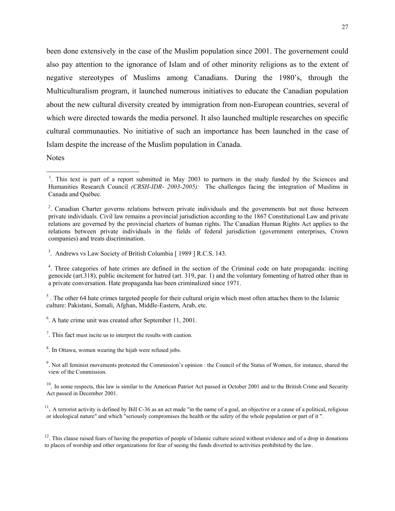been done extensively in the case of the Muslim population since 2001. The governement could also pay attention to the ignorance of Islam and of other minority religions as to the extent of negative stereotypes of Muslims among Canadians. During the 1980's, through the Multiculturalism program, it launched numerous initiatives to educate the Canadian population about the new cultural diversity created by immigration from non-European countries, several of which were directed towards the media personel. It also launched multiple researches on specific cultural communauties. No initiative of such an importance has been launched in the case of Islam despite the increase of the Muslim population in Canada.

Notes

1

 $<sup>5</sup>$ . The other 64 hate crimes targeted people for their cultural origin which most often attaches them to the Islamic</sup> culture: Pakistani, Somali, Afghan, Middle-Eastern, Arab, etc.

<sup>&</sup>lt;sup>1</sup>. This text is part of a report submitted in May 2003 to partners in the study funded by the Sciences and Humanities Research Council *(CRSH-IDR- 2003-2005):* The challenges facing the integration of Muslims in Canada and Québec.

<sup>&</sup>lt;sup>2</sup>. Canadian Charter governs relations between private individuals and the governments but not those between private individuals. Civil law remains a provincial jurisdiction according to the 1867 Constitutional Law and private relations are governed by the provincial charters of human rights. The Canadian Human Rights Act applies to the relations between private individuals in the fields of federal jurisdiction (government enterprises, Crown companies) and treats discrimination.

<sup>&</sup>lt;sup>3</sup>. Andrews vs Law Society of British Columbia [ 1989 ] R.C.S. 143.

<sup>&</sup>lt;sup>4</sup>. Three categories of hate crimes are defined in the section of the Criminal code on hate propaganda: inciting genocide (art.318), public incitement for hatred (art. 319, par. 1) and the voluntary fomenting of hatred other than in a private conversation. Hate propaganda has been criminalized since 1971.

<sup>6</sup> . A hate crime unit was created after September 11, 2001.

 $<sup>7</sup>$ . This fact must incite us to interpret the results with caution.</sup>

 $8$ . In Ottawa, women wearing the hijab were refused jobs.

<sup>&</sup>lt;sup>9</sup>. Not all feminist movements protested the Commission's opinion : the Council of the Status of Women, for instance, shared the view of the Commission.

 $10$ . In some respects, this law is similar to the American Patriot Act passed in October 2001 and to the British Crime and Security Act passed in December 2001.

 $11$ . A terrorist activity is defined by Bill C-36 as an act made "in the name of a goal, an objective or a cause of a political, religious or ideological nature" and which "seriously compromises the health or the safety of the whole population or part of it ".

 $12$ . This clause raised fears of having the properties of people of Islamic culture seized without evidence and of a drop in donations to places of worship and other organizations for fear of seeing the funds diverted to activities prohibited by the law.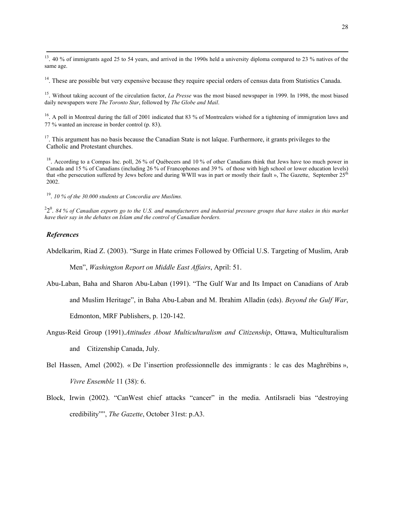<sup>13</sup>. 40 % of immigrants aged 25 to 54 years, and arrived in the 1990s held a university diploma compared to 23 % natives of the same age.

<sup>14</sup>. These are possible but very expensive because they require special orders of census data from Statistics Canada.

15. Without taking account of the circulation factor, *La Presse* was the most biased newspaper in 1999. In 1998, the most biased daily newspapers were *The Toronto Star*, followed by *The Globe and Mail*.

<sup>16</sup>. A poll in Montreal during the fall of 2001 indicated that 83 % of Montrealers wished for a tightening of immigration laws and 77 % wanted an increase in border control (p. 83).

<sup>17</sup>. This argument has no basis because the Canadian State is not laïque. Furthermore, it grants privileges to the Catholic and Protestant churches.

<sup>18</sup>. According to a Compas Inc. poll, 26 % of Québecers and 10 % of other Canadians think that Jews have too much power in Canada and 15 % of Canadians (including 26 % of Francophones and 39 % of those with high school or lower education levels) that «the persecution suffered by Jews before and during WWII was in part or mostly their fault ». The Gazette, September  $25<sup>th</sup>$ 2002.

19. *10 % of the 30.000 students at Concordia are Muslims.* 

 $22^0$ . 84 % of Canadian exports go to the U.S. and manufacturers and industrial pressure groups that have stakes in this market *have their say in the debates on Islam and the control of Canadian borders.* 

#### *References*

Abdelkarim, Riad Z. (2003). "Surge in Hate crimes Followed by Official U.S. Targeting of Muslim, Arab

Men", *Washington Report on Middle East Affairs*, April: 51.

Abu-Laban, Baha and Sharon Abu-Laban (1991). "The Gulf War and Its Impact on Canadians of Arab

and Muslim Heritage", in Baha Abu-Laban and M. Ibrahim Alladin (eds). *Beyond the Gulf War*,

Edmonton, MRF Publishers, p. 120-142.

- Angus-Reid Group (1991).*Attitudes About Multiculturalism and Citizenship*, Ottawa, Multiculturalism and Citizenship Canada, July.
- Bel Hassen, Amel (2002). « De l'insertion professionnelle des immigrants : le cas des Maghrébins », *Vivre Ensemble* 11 (38): 6.
- Block, Irwin (2002). "CanWest chief attacks "cancer" in the media. AntiIsraeli bias "destroying credibility"", *The Gazette*, October 31rst: p.A3.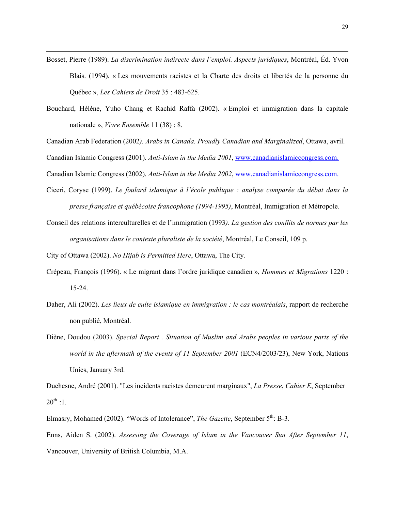- Bosset, Pierre (1989). *La discrimination indirecte dans l'emploi. Aspects juridiques*, Montréal, Éd. Yvon Blais. (1994). « Les mouvements racistes et la Charte des droits et libertés de la personne du Québec », *Les Cahiers de Droit* 35 : 483-625.
- Bouchard, Hélène, Yuho Chang et Rachid Raffa (2002). « Emploi et immigration dans la capitale nationale », *Vivre Ensemble* 11 (38) : 8.

Canadian Arab Federation (2002*). Arabs in Canada. Proudly Canadian and Marginalized*, Ottawa, avril.

Canadian Islamic Congress (2001). *Anti-Islam in the Media 2001*, [www.canadianislamiccongress.com.](http://www.canadianislamiccongress.com./)

Canadian Islamic Congress (2002). *Anti-Islam in the Media 2002*, [www.canadianislamiccongress.com.](http://www.canadianislamiccongress.com./)

- Ciceri, Coryse (1999). *Le foulard islamique à l'école publique : analyse comparée du débat dans la presse française et québécoise francophone (1994-1995)*, Montréal, Immigration et Métropole.
- Conseil des relations interculturelles et de l'immigration (1993*). La gestion des conflits de normes par les organisations dans le contexte pluraliste de la société*, Montréal, Le Conseil, 109 p.

City of Ottawa (2002). *No Hijab is Permitted Here*, Ottawa, The City.

 $\overline{a}$ 

- Crépeau, François (1996). « Le migrant dans l'ordre juridique canadien », *Hommes et Migrations* 1220 : 15-24.
- Daher, Ali (2002). *Les lieux de culte islamique en immigration : le cas montréalais*, rapport de recherche non publié, Montréal.
- Diène, Doudou (2003). *Special Report . Situation of Muslim and Arabs peoples in various parts of the world in the aftermath of the events of 11 September 2001* (ECN4/2003/23), New York, Nations Unies, January 3rd.

Duchesne, André (2001). "Les incidents racistes demeurent marginaux", *La Presse*, *Cahier E*, September  $20^{th}$  :1.

Elmasry, Mohamed (2002). "Words of Intolerance", *The Gazette*, September 5<sup>th</sup>: B-3.

Enns, Aiden S. (2002). *Assessing the Coverage of Islam in the Vancouver Sun After September 11*, Vancouver, University of British Columbia, M.A.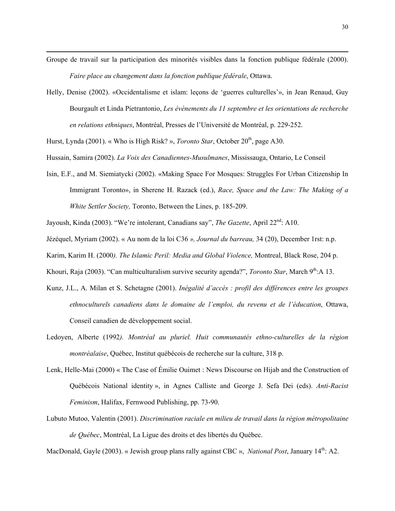- Groupe de travail sur la participation des minorités visibles dans la fonction publique fédérale (2000). *Faire place au changement dans la fonction publique fédérale*, Ottawa.
- Helly, Denise (2002). «Occidentalisme et islam: leçons de 'guerres culturelles'», in Jean Renaud, Guy Bourgault et Linda Pietrantonio, *Les évènements du 11 septembre et les orientations de recherche en relations ethniques*, Montréal, Presses de l'Université de Montréal, p. 229-252.

Hurst, Lynda (2001). « Who is High Risk? », *Toronto Star*, October 20<sup>th</sup>, page A30.

 $\overline{a}$ 

- Hussain, Samira (2002). *La Voix des Canadiennes-Musulmanes*, Mississauga, Ontario, Le Conseil
- Isin, E.F., and M. Siemiatycki (2002). «Making Space For Mosques: Struggles For Urban Citizenship In Immigrant Toronto», in Sherene H. Razack (ed.), *Race, Space and the Law: The Making of a White Settler Society,* Toronto, Between the Lines, p. 185-209.
- Jayoush, Kinda (2003). "We're intolerant, Canadians say", *The Gazette*, April 22nd: A10.
- Jézéquel, Myriam (2002). « Au nom de la loi C36 *», Journal du barreau,* 34 (20), December 1rst: n.p.

Karim, Karim H. (2000*). The Islamic Peril: Media and Global Violence,* Montreal, Black Rose, 204 p.

Khouri, Raja (2003). "Can multiculturalism survive security agenda?", *Toronto Star*, March 9<sup>th</sup>:A 13.

- Kunz, J.L., A. Milan et S. Schetagne (2001). *Inégalité d'accès : profil des différences entre les groupes ethnoculturels canadiens dans le domaine de l'emploi, du revenu et de l'éducation*, Ottawa, Conseil canadien de développement social.
- Ledoyen, Alberte (1992*). Montréal au pluriel. Huit communautés ethno-culturelles de la région montréalaise*, Québec, Institut québécois de recherche sur la culture, 318 p.
- Lenk, Helle-Mai (2000) « The Case of Émilie Ouimet : News Discourse on Hijab and the Construction of Québécois National identity », in Agnes Calliste and George J. Sefa Dei (eds). *Anti-Racist Feminism*, Halifax, Fernwood Publishing, pp. 73-90.
- Lubuto Mutoo, Valentin (2001). *Discrimination raciale en milieu de travail dans la région métropolitaine de Québec*, Montréal, La Ligue des droits et des libertés du Québec.

MacDonald, Gayle (2003). « Jewish group plans rally against CBC », *National Post*, January 14<sup>th</sup>: A2.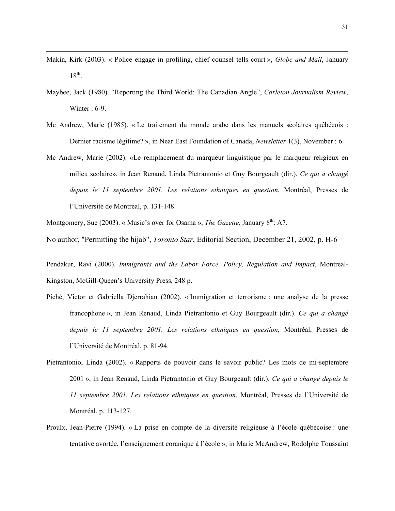Makin, Kirk (2003). « Police engage in profiling, chief counsel tells court », *Globe and Mail*, January  $18^{th}$ .

 $\overline{a}$ 

- Maybee, Jack (1980). "Reporting the Third World: The Canadian Angle", *Carleton Journalism Review*, Winter : 6-9.
- Mc Andrew, Marie (1985). « Le traitement du monde arabe dans les manuels scolaires québécois : Dernier racisme légitime? », in Near East Foundation of Canada, *Newsletter* 1(3), November : 6.
- Mc Andrew, Marie (2002). «Le remplacement du marqueur linguistique par le marqueur religieux en milieu scolaire», in Jean Renaud, Linda Pietrantonio et Guy Bourgeault (dir.). *Ce qui a changé depuis le 11 septembre 2001. Les relations ethniques en question*, Montréal, Presses de l'Université de Montréal, p. 131-148.

Montgomery, Sue (2003). « Music's over for Osama », *The Gazette*, January 8<sup>th</sup>: A7.

No author, "Permitting the hijab", *Toronto Star*, Editorial Section, December 21, 2002, p. H-6

Pendakur, Ravi (2000). *Immigrants and the Labor Force. Policy, Regulation and Impact*, Montreal-Kingston, McGill-Queen's University Press, 248 p.

- Piché, Victor et Gabriella Djerrahian (2002). « Immigration et terrorisme : une analyse de la presse francophone », in Jean Renaud, Linda Pietrantonio et Guy Bourgeault (dir.). *Ce qui a changé depuis le 11 septembre 2001. Les relations ethniques en question*, Montréal, Presses de l'Université de Montréal, p. 81-94.
- Pietrantonio, Linda (2002). « Rapports de pouvoir dans le savoir public? Les mots de mi-septembre 2001 », in Jean Renaud, Linda Pietrantonio et Guy Bourgeault (dir.). *Ce qui a changé depuis le 11 septembre 2001. Les relations ethniques en question*, Montréal, Presses de l'Université de Montréal, p. 113-127.
- Proulx, Jean-Pierre (1994). « La prise en compte de la diversité religieuse à l'école québécoise : une tentative avortée, l'enseignement coranique à l'école », in Marie McAndrew, Rodolphe Toussaint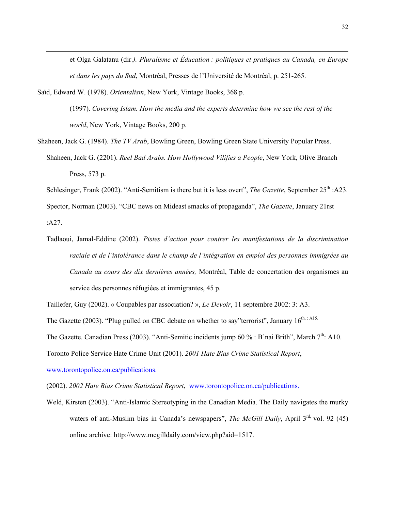et Olga Galatanu (dir.*). Pluralisme et Éducation : politiques et pratiques au Canada, en Europe et dans les pays du Sud*, Montréal, Presses de l'Université de Montréal, p. 251-265.

Saïd, Edward W. (1978). *Orientalism*, New York, Vintage Books, 368 p.

 $\overline{a}$ 

(1997). *Covering Islam. How the media and the experts determine how we see the rest of the world*, New York, Vintage Books, 200 p.

Shaheen, Jack G. (1984). *The TV Arab*, Bowling Green, Bowling Green State University Popular Press. Shaheen, Jack G. (2201). *Reel Bad Arabs. How Hollywood Vilifies a People*, New York, Olive Branch Press, 573 p.

Schlesinger, Frank (2002). "Anti-Semitism is there but it is less overt", *The Gazette*, September 25<sup>th</sup> :A23.

Spector, Norman (2003). "CBC news on Mideast smacks of propaganda", *The Gazette*, January 21rst :A27.

Tadlaoui, Jamal-Eddine (2002). *Pistes d'action pour contrer les manifestations de la discrimination raciale et de l'intolérance dans le champ de l'intégration en emploi des personnes immigrées au Canada au cours des dix dernières années,* Montréal, Table de concertation des organismes au service des personnes réfugiées et immigrantes, 45 p.

Taillefer, Guy (2002). « Coupables par association? », *Le Devoir*, 11 septembre 2002: 3: A3.

The Gazette (2003). "Plug pulled on CBC debate on whether to say"terrorist", January  $16^{\text{th}}$ .: A15.

The Gazette. Canadian Press (2003). "Anti-Semitic incidents jump 60 % : B'nai Brith", March 7<sup>th</sup>: A10.

Toronto Police Service Hate Crime Unit (2001). *2001 Hate Bias Crime Statistical Report*,

[www.torontopolice.on.ca/publications.](http://www.torontopolice.on.ca/publications.)

(2002). *2002 Hate Bias Crime Statistical Report*, [www.torontopolice.on.ca/publications.](http://www.torontopolice.on.ca/publications.)

Weld, Kirsten (2003). "Anti-Islamic Stereotyping in the Canadian Media. The Daily navigates the murky waters of anti-Muslim bias in Canada's newspapers", *The McGill Daily*, April 3<sup>rd,</sup> vol. 92 (45) online archive: http://www.mcgilldaily.com/view.php?aid=1517.